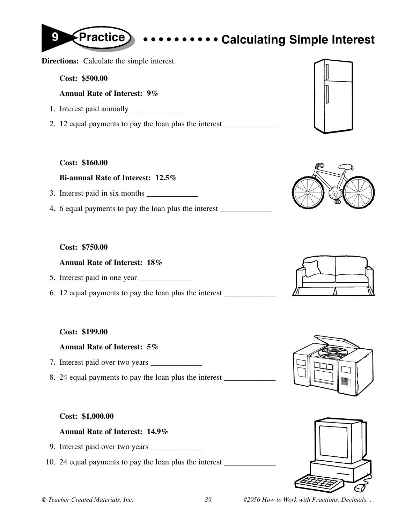**Directions:** Calculate the simple interest.

**Cost: \$500.00**

**Annual Rate of Interest: 9%**

- 1. Interest paid annually \_\_\_\_\_\_\_\_\_\_\_\_\_
- 2. 12 equal payments to pay the loan plus the interest

### **Cost: \$160.00**

### **Bi-annual Rate of Interest: 12.5%**

- 3. Interest paid in six months \_\_\_\_\_\_\_\_\_\_\_\_\_
- 4. 6 equal payments to pay the loan plus the interest \_\_\_\_\_\_\_\_\_\_\_\_\_\_\_\_\_\_\_\_\_\_\_\_\_\_

## **Cost: \$750.00**

## **Annual Rate of Interest: 18%**

- 5. Interest paid in one year \_\_\_\_\_\_\_\_\_\_\_\_\_
- 6. 12 equal payments to pay the loan plus the interest \_\_\_\_\_\_\_\_\_\_\_\_\_

### **Cost: \$199.00**

### **Annual Rate of Interest: 5%**

- 7. Interest paid over two years \_\_\_\_\_\_\_\_\_\_\_\_\_
- 8. 24 equal payments to pay the loan plus the interest \_\_\_\_\_\_\_\_\_\_\_\_\_\_\_\_\_\_\_\_\_\_\_\_\_\_

### **Cost: \$1,000.00**

### **Annual Rate of Interest: 14.9%**

- 9. Interest paid over two years \_\_\_\_\_\_\_\_\_\_\_\_\_
- 10. 24 equal payments to pay the loan plus the interest \_\_\_\_\_\_\_\_\_\_\_\_\_\_\_\_\_\_\_\_\_\_\_\_











# **9 Practice • • • • • • • • • • Calculating Simple Interest**